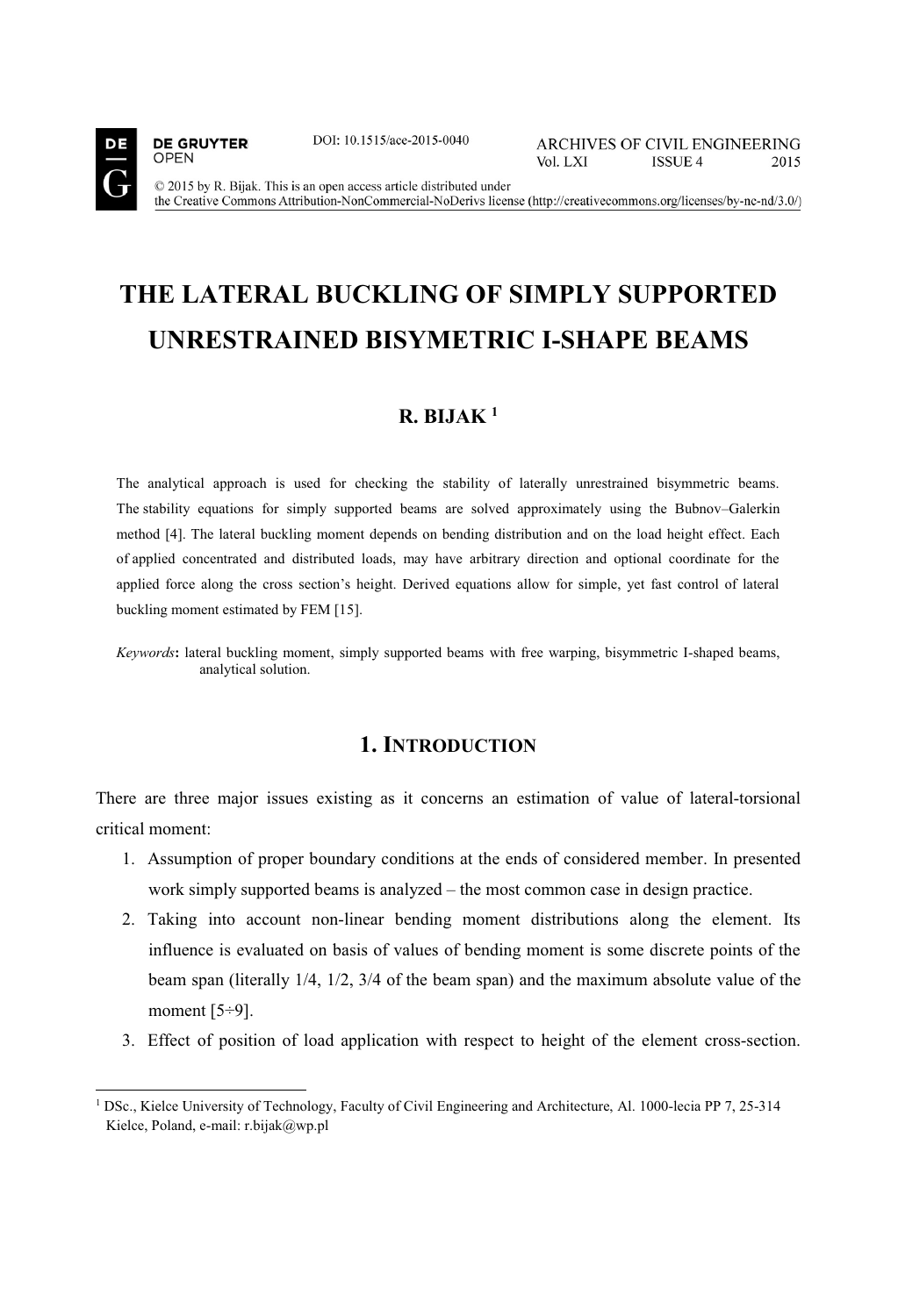

**DE GRUYTER** 

**OPEN** 

j

DOI: 10.1515/ace-2015-0040

© 2015 by R. Bijak. This is an open access article distributed under the Creative Commons Attribution-NonCommercial-NoDerivs license (http://creativecommons.org/licenses/by-nc-nd/3.0/)

# **THE LATERAL BUCKLING OF SIMPLY SUPPORTED UNRESTRAINED BISYMETRIC I-SHAPE BEAMS**

### **R. BIJAK 1**

The analytical approach is used for checking the stability of laterally unrestrained bisymmetric beams. The stability equations for simply supported beams are solved approximately using the Bubnov–Galerkin method [4]. The lateral buckling moment depends on bending distribution and on the load height effect. Each of applied concentrated and distributed loads, may have arbitrary direction and optional coordinate for the applied force along the cross section's height. Derived equations allow for simple, yet fast control of lateral buckling moment estimated by FEM [15].

*Keywords***:** lateral buckling moment, simply supported beams with free warping, bisymmetric I-shaped beams, analytical solution.

### **1. INTRODUCTION**

There are three major issues existing as it concerns an estimation of value of lateral-torsional critical moment:

- 1. Assumption of proper boundary conditions at the ends of considered member. In presented work simply supported beams is analyzed – the most common case in design practice.
- 2. Taking into account non-linear bending moment distributions along the element. Its influence is evaluated on basis of values of bending moment is some discrete points of the beam span (literally 1/4, 1/2, 3/4 of the beam span) and the maximum absolute value of the moment [5÷9].
- 3. Effect of position of load application with respect to height of the element cross-section.

<sup>&</sup>lt;sup>1</sup> DSc., Kielce University of Technology, Faculty of Civil Engineering and Architecture, Al. 1000-lecia PP 7, 25-314 Kielce, Poland, e-mail: r.bijak@wp.pl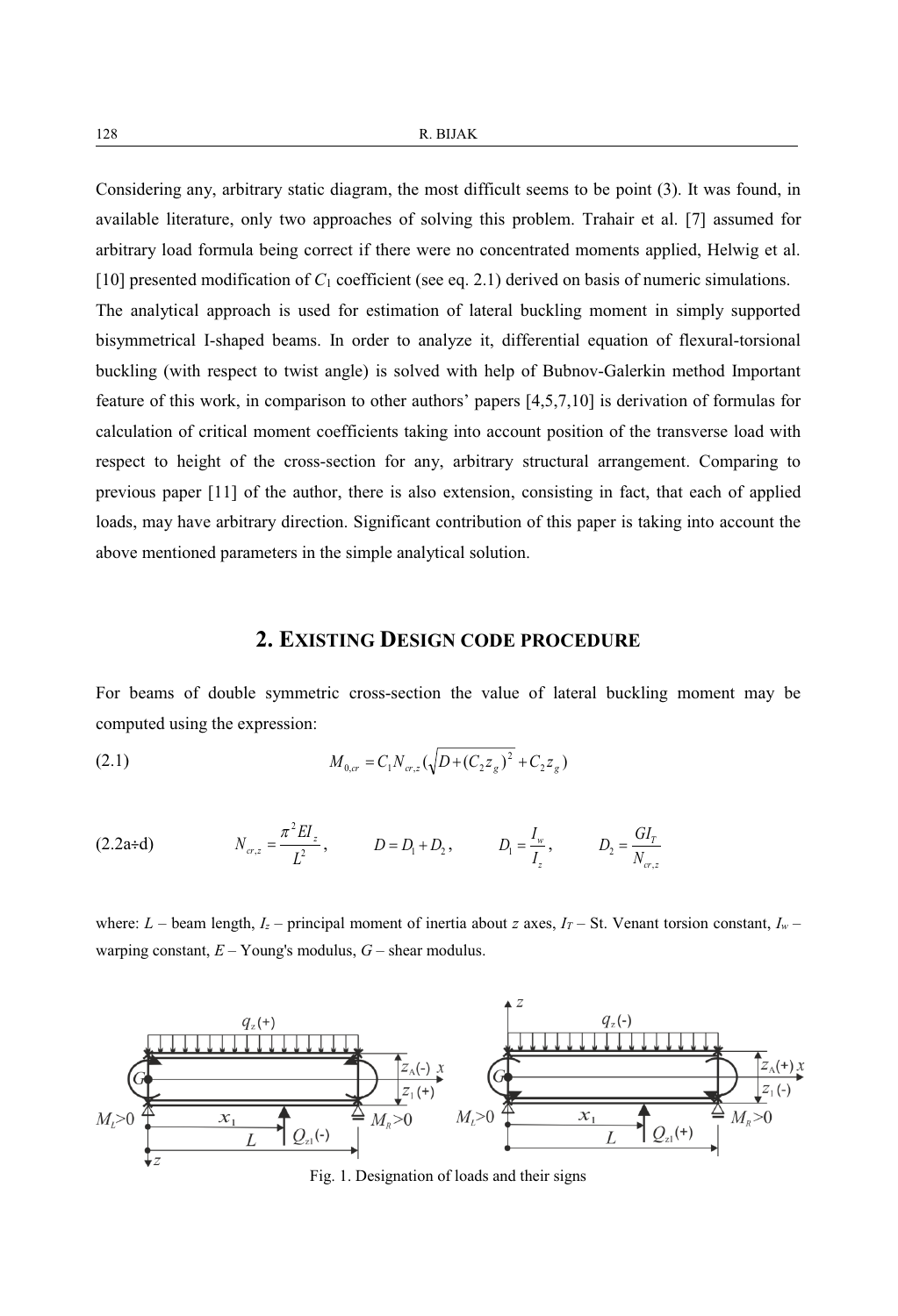Considering any, arbitrary static diagram, the most difficult seems to be point (3). It was found, in available literature, only two approaches of solving this problem. Trahair et al. [7] assumed for arbitrary load formula being correct if there were no concentrated moments applied, Helwig et al. [10] presented modification of *C*<sup>1</sup> coefficient (see eq. 2.1) derived on basis of numeric simulations. The analytical approach is used for estimation of lateral buckling moment in simply supported bisymmetrical I-shaped beams. In order to analyze it, differential equation of flexural-torsional buckling (with respect to twist angle) is solved with help of Bubnov-Galerkin method Important feature of this work, in comparison to other authors' papers [4,5,7,10] is derivation of formulas for calculation of critical moment coefficients taking into account position of the transverse load with respect to height of the cross-section for any, arbitrary structural arrangement. Comparing to previous paper [11] of the author, there is also extension, consisting in fact, that each of applied loads, may have arbitrary direction. Significant contribution of this paper is taking into account the above mentioned parameters in the simple analytical solution.

### **2. EXISTING DESIGN CODE PROCEDURE**

For beams of double symmetric cross-section the value of lateral buckling moment may be computed using the expression:

(2.1) 
$$
M_{0,\sigma} = C_1 N_{\sigma,z} (\sqrt{D + (C_2 z_g)^2} + C_2 z_g)
$$

(2.2a+d) 
$$
N_{\sigma,z} = \frac{\pi^2 EI_z}{L^2}, \qquad D = D_1 + D_2, \qquad D_1 = \frac{I_w}{I_z}, \qquad D_2 = \frac{GI_T}{N_{\sigma,z}}
$$

where:  $L$  – beam length,  $I_z$  – principal moment of inertia about *z* axes,  $I_T$  – St. Venant torsion constant,  $I_w$ warping constant, *E* – Young's modulus, *G* – shear modulus.



Fig. 1. Designation of loads and their signs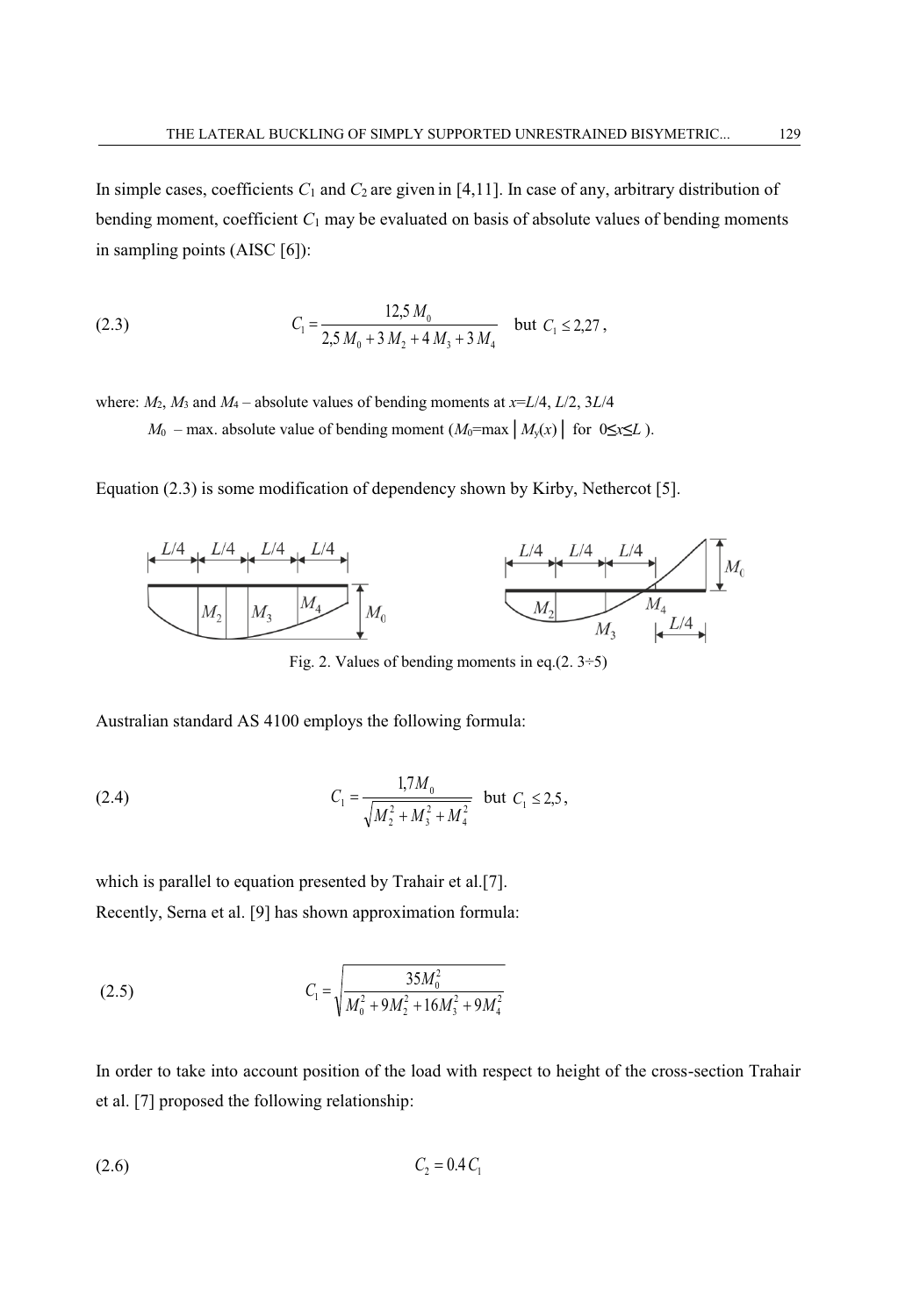In simple cases, coefficients  $C_1$  and  $C_2$  are given in [4,11]. In case of any, arbitrary distribution of bending moment, coefficient *C*<sup>1</sup> may be evaluated on basis of absolute values of bending moments in sampling points (AISC [6]):

(2.3) 
$$
C_1 = \frac{12,5 M_0}{2,5 M_0 + 3 M_2 + 4 M_3 + 3 M_4} \text{ but } C_1 \le 2,27,
$$

where:  $M_2$ ,  $M_3$  and  $M_4$  – absolute values of bending moments at  $x=L/4$ ,  $L/2$ ,  $3L/4$ *M*<sup>0</sup> – max. absolute value of bending moment  $(M_0=$ max  $|M_y(x)|$  for 0≤*x*≤*L*).

Equation (2.3) is some modification of dependency shown by Kirby, Nethercot [5].



Fig. 2. Values of bending moments in eq. $(2.3 \div 5)$ 

Australian standard AS 4100 employs the following formula:

(2.4) 
$$
C_1 = \frac{1.7M_0}{\sqrt{M_2^2 + M_3^2 + M_4^2}} \text{ but } C_1 \le 2.5,
$$

which is parallel to equation presented by Trahair et al.[7]. Recently, Serna et al. [9] has shown approximation formula:

(2.5) 
$$
C_1 = \sqrt{\frac{35M_0^2}{M_0^2 + 9M_2^2 + 16M_3^2 + 9M_4^2}}
$$

In order to take into account position of the load with respect to height of the cross-section Trahair et al. [7] proposed the following relationship:

$$
(2.6) \t C2 = 0.4 C1
$$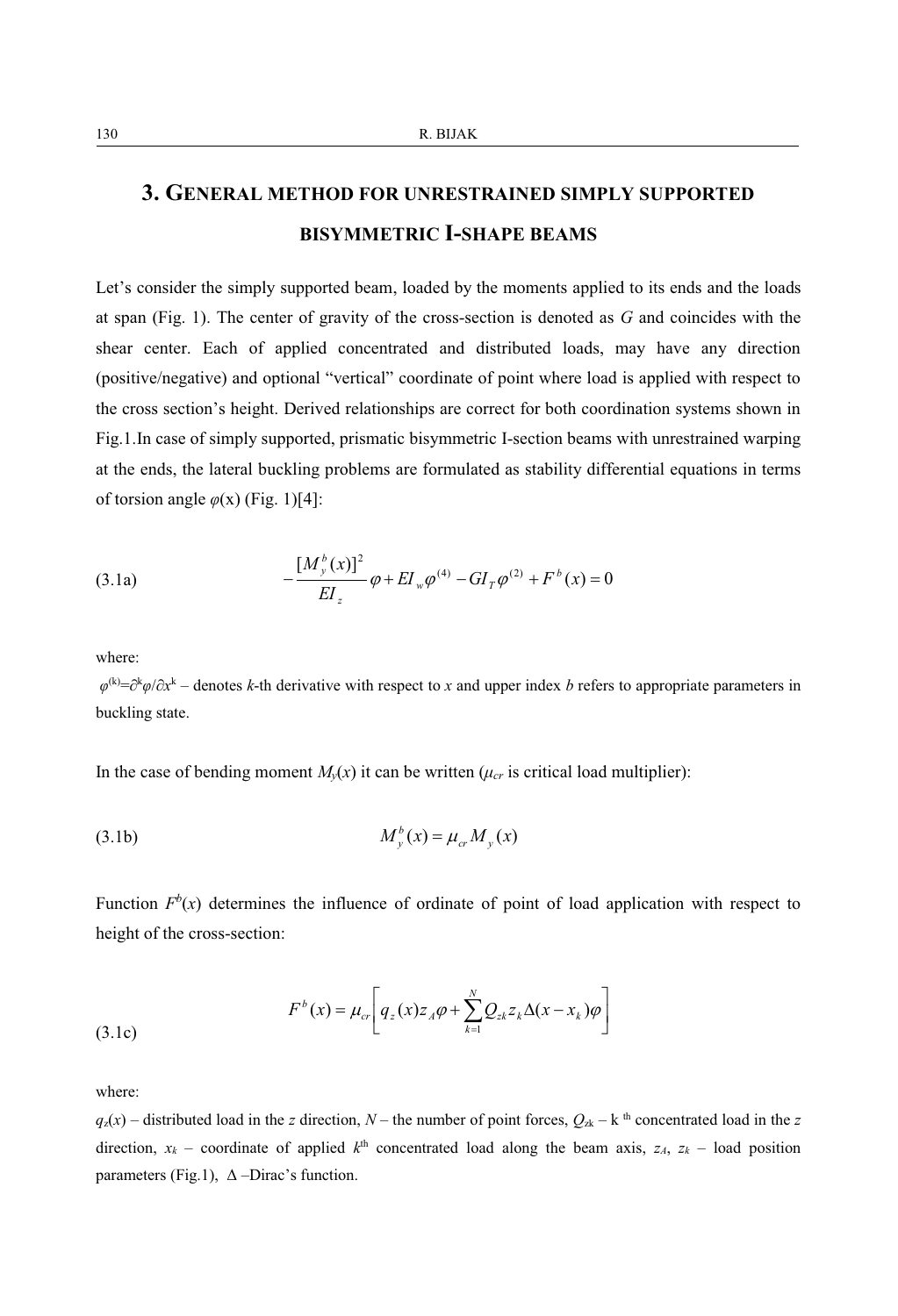## **3. GENERAL METHOD FOR UNRESTRAINED SIMPLY SUPPORTED BISYMMETRIC I-SHAPE BEAMS**

Let's consider the simply supported beam, loaded by the moments applied to its ends and the loads at span (Fig. 1). The center of gravity of the cross-section is denoted as *G* and coincides with the shear center. Each of applied concentrated and distributed loads, may have any direction (positive/negative) and optional "vertical" coordinate of point where load is applied with respect to the cross section's height. Derived relationships are correct for both coordination systems shown in Fig.1.In case of simply supported, prismatic bisymmetric I-section beams with unrestrained warping at the ends, the lateral buckling problems are formulated as stability differential equations in terms of torsion angle  $\varphi(x)$  (Fig. 1)[4]:

(3.1a) 
$$
-\frac{[M_{y}^{b}(x)]^{2}}{EI_{z}}\varphi + EI_{w}\varphi^{(4)} - GI_{T}\varphi^{(2)} + F^{b}(x) = 0
$$

where:

*φ*<sup>(k)</sup>=∂<sup>k</sup> $\varphi$ /∂*x*<sup>k</sup> – denotes *k*-th derivative with respect to *x* and upper index *b* refers to appropriate parameters in buckling state.

In the case of bending moment  $M_y(x)$  it can be written ( $\mu_{cr}$  is critical load multiplier):

$$
(3.1b) \t\t M_y^b(x) = \mu_{cr} M_y(x)
$$

Function  $F<sup>b</sup>(x)$  determines the influence of ordinate of point of load application with respect to height of the cross-section:

(3.1c) 
$$
F^{b}(x) = \mu_{cr} \left[ q_z(x) z_A \varphi + \sum_{k=1}^{N} Q_{zk} z_k \Delta(x - x_k) \varphi \right]
$$

where:

 $q_z(x)$  – distributed load in the *z* direction, *N* – the number of point forces,  $Q_{2k}$  – k<sup>th</sup> concentrated load in the *z* direction,  $x_k$  – coordinate of applied  $k^{\text{th}}$  concentrated load along the beam axis,  $z_A$ ,  $z_k$  – load position parameters (Fig.1),  $\Delta$  –Dirac's function.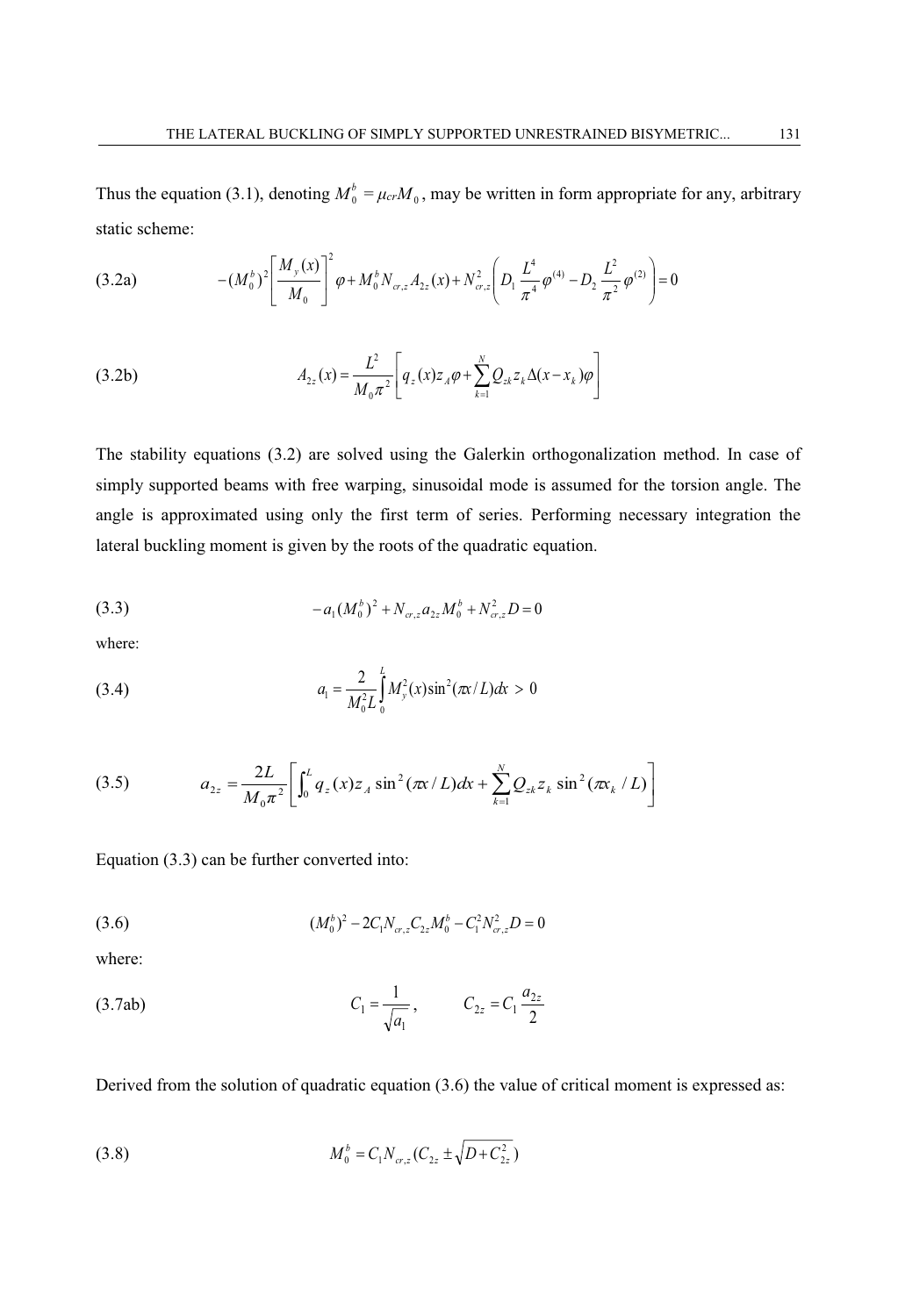Thus the equation (3.1), denoting  $M_0^b = \mu_{cr} M_0$ , may be written in form appropriate for any, arbitrary static scheme:

$$
(3.2a) \qquad \qquad -(M_0^b)^2 \left[ \frac{M_y(x)}{M_0} \right]^2 \varphi + M_0^b N_{\sigma,z} A_{2z}(x) + N_{\sigma,z}^2 \left( D_1 \frac{L^4}{\pi^4} \varphi^{(4)} - D_2 \frac{L^2}{\pi^2} \varphi^{(2)} \right) = 0
$$

(3.2b) 
$$
A_{2z}(x) = \frac{L^2}{M_0 \pi^2} \left[ q_z(x) z_A \varphi + \sum_{k=1}^N Q_{zk} z_k \Delta(x - x_k) \varphi \right]
$$

The stability equations (3.2) are solved using the Galerkin orthogonalization method. In case of simply supported beams with free warping, sinusoidal mode is assumed for the torsion angle. The angle is approximated using only the first term of series. Performing necessary integration the lateral buckling moment is given by the roots of the quadratic equation.

(3.3) 
$$
-a_1(M_0^b)^2 + N_{\alpha,z} a_{2z} M_0^b + N_{\alpha,z}^2 D = 0
$$

where:

(3.4) 
$$
a_1 = \frac{2}{M_0^2 L} \int_0^L M_y^2(x) \sin^2(\pi x/L) dx > 0
$$

(3.5) 
$$
a_{2z} = \frac{2L}{M_0 \pi^2} \left[ \int_0^L q_z(x) z_A \sin^2(\pi x/L) dx + \sum_{k=1}^N Q_{zk} z_k \sin^2(\pi x_k/L) \right]
$$

Equation (3.3) can be further converted into:

$$
(3.6) \t\t\t\t(M_0^b)^2 - 2C_1 N_{cr,z} C_{2z} M_0^b - C_1^2 N_{cr,z}^2 D = 0
$$

where:

(3.7ab) 
$$
C_1 = \frac{1}{\sqrt{a_1}}, \qquad C_{2z} = C_1 \frac{a_{2z}}{2}
$$

Derived from the solution of quadratic equation (3.6) the value of critical moment is expressed as:

(3.8) 
$$
M_0^b = C_1 N_{cr,z} (C_{2z} \pm \sqrt{D + C_{2z}^2})
$$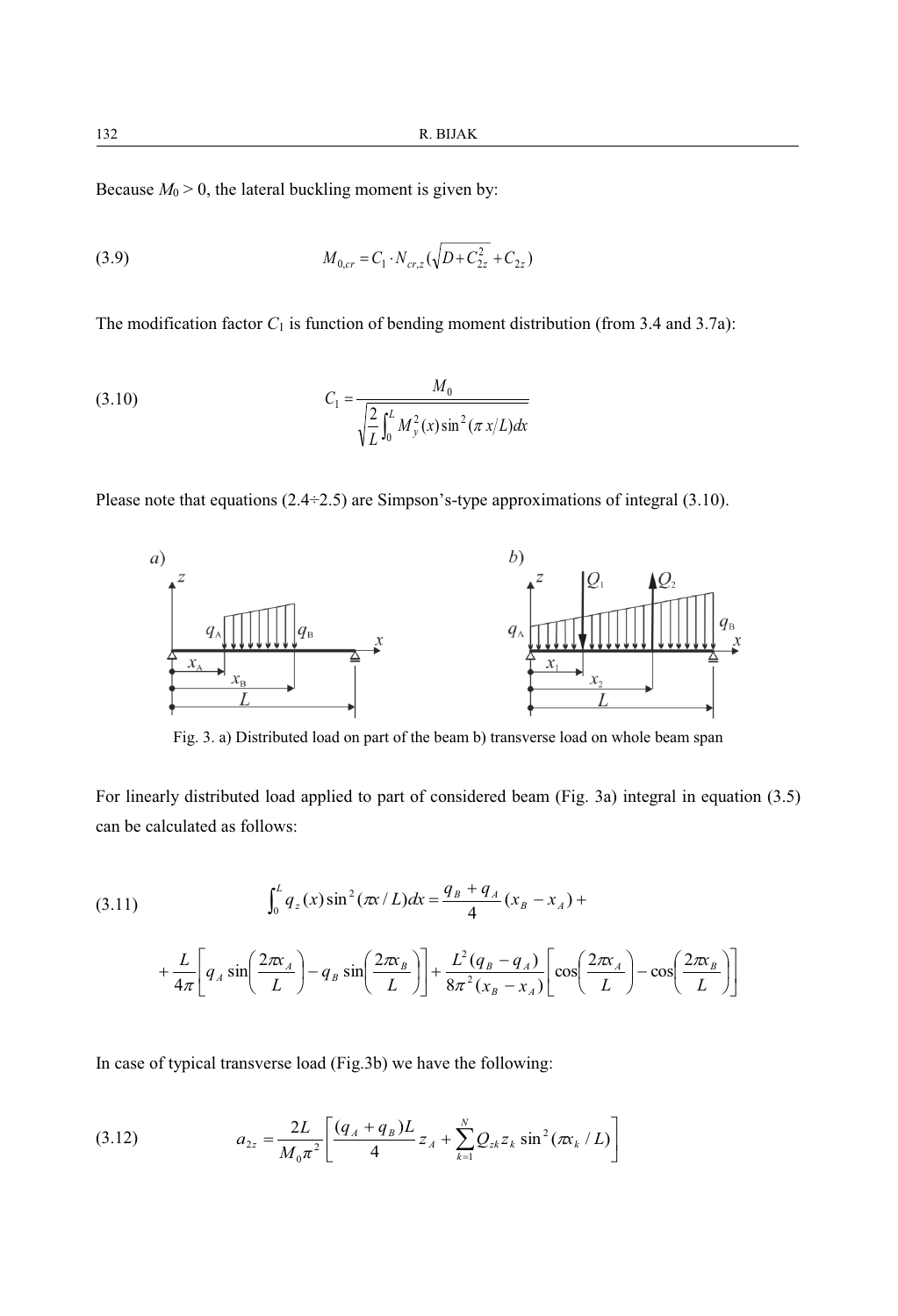Because  $M_0 > 0$ , the lateral buckling moment is given by:

(3.9) 
$$
M_{0,cr} = C_1 \cdot N_{cr,z} \left(\sqrt{D + C_{2z}^2} + C_{2z}\right)
$$

The modification factor  $C_1$  is function of bending moment distribution (from 3.4 and 3.7a):

(3.10) 
$$
C_1 = \frac{M_0}{\sqrt{\frac{2}{L} \int_0^L M_y^2(x) \sin^2(\pi x/L) dx}}
$$

Please note that equations (2.4÷2.5) are Simpson's-type approximations of integral (3.10).



Fig. 3. a) Distributed load on part of the beam b) transverse load on whole beam span

For linearly distributed load applied to part of considered beam (Fig. 3a) integral in equation (3.5) can be calculated as follows:

(3.11) 
$$
\int_0^L q_z(x) \sin^2(\pi x/L) dx = \frac{q_B + q_A}{4} (x_B - x_A) +
$$

$$
+ \frac{L}{4\pi} \left[ q_A \sin\left(\frac{2\pi x_A}{L}\right) - q_B \sin\left(\frac{2\pi x_B}{L}\right) \right] + \frac{L^2 (q_B - q_A)}{8\pi^2 (x_B - x_A)} \left[ \cos\left(\frac{2\pi x_A}{L}\right) - \cos\left(\frac{2\pi x_B}{L}\right) \right]
$$

In case of typical transverse load (Fig.3b) we have the following:

(3.12) 
$$
a_{2z} = \frac{2L}{M_0 \pi^2} \left[ \frac{(q_A + q_B)L}{4} z_A + \sum_{k=1}^{N} Q_{zk} z_k \sin^2(\pi x_k / L) \right]
$$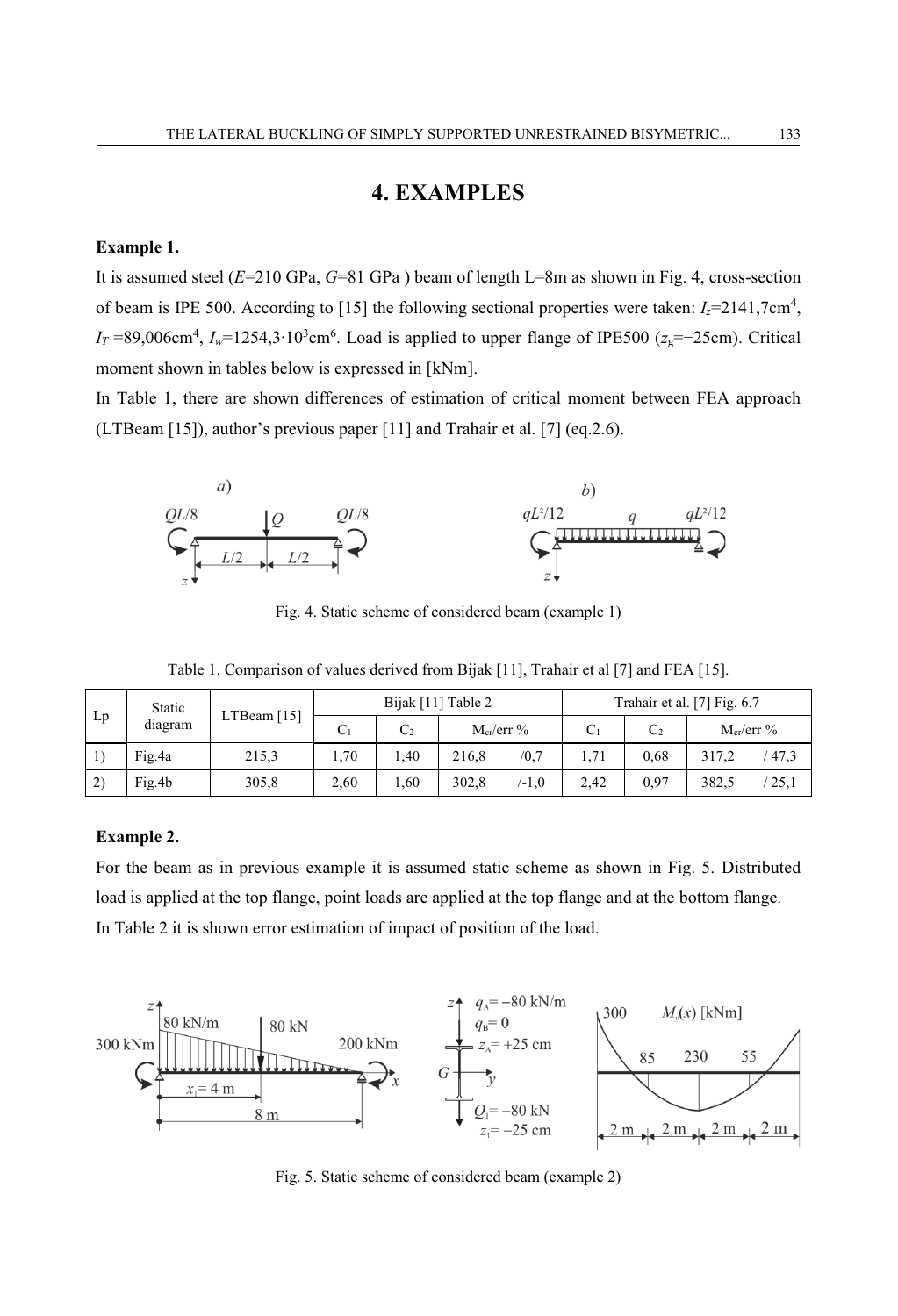### **4. EXAMPLES**

#### **Example 1.**

It is assumed steel (*E*=210 GPa, *G*=81 GPa ) beam of length L=8m as shown in Fig. 4, cross-section of beam is IPE 500. According to [15] the following sectional properties were taken: *Iz*=2141,7cm<sup>4</sup> , *IT* =89,006cm<sup>4</sup>, *I<sub>w</sub>*=1254,3∙10<sup>3</sup>cm<sup>6</sup>. Load is applied to upper flange of IPE500 (*z*<sub>g</sub>=−25cm). Critical moment shown in tables below is expressed in [kNm].

In Table 1, there are shown differences of estimation of critical moment between FEA approach (LTBeam [15]), author's previous paper [11] and Trahair et al. [7] (eq.2.6).



Fig. 4. Static scheme of considered beam (example 1)

|    |                   |             |  |                    | .                           |  |                |
|----|-------------------|-------------|--|--------------------|-----------------------------|--|----------------|
| Lp | Static<br>diagram | LTBeam [15] |  | Bijak [11] Table 2 | Trahair et al. [7] Fig. 6.7 |  |                |
|    |                   |             |  | $M_{cr}/err$ %     |                             |  | $M_{cr}/err$ % |

1) Fig.4a 215,3 1,70 1,40 216,8 /0,7 1,71 0,68 317,2 / 47,3 2) Fig.4b 305,8 2,60 1,60 302,8 /-1,0 2,42 0,97 382,5 / 25,1

Table 1. Comparison of values derived from Bijak [11], Trahair et al [7] and FEA [15].

#### **Example 2.**

For the beam as in previous example it is assumed static scheme as shown in Fig. 5. Distributed load is applied at the top flange, point loads are applied at the top flange and at the bottom flange. In Table 2 it is shown error estimation of impact of position of the load.



Fig. 5. Static scheme of considered beam (example 2)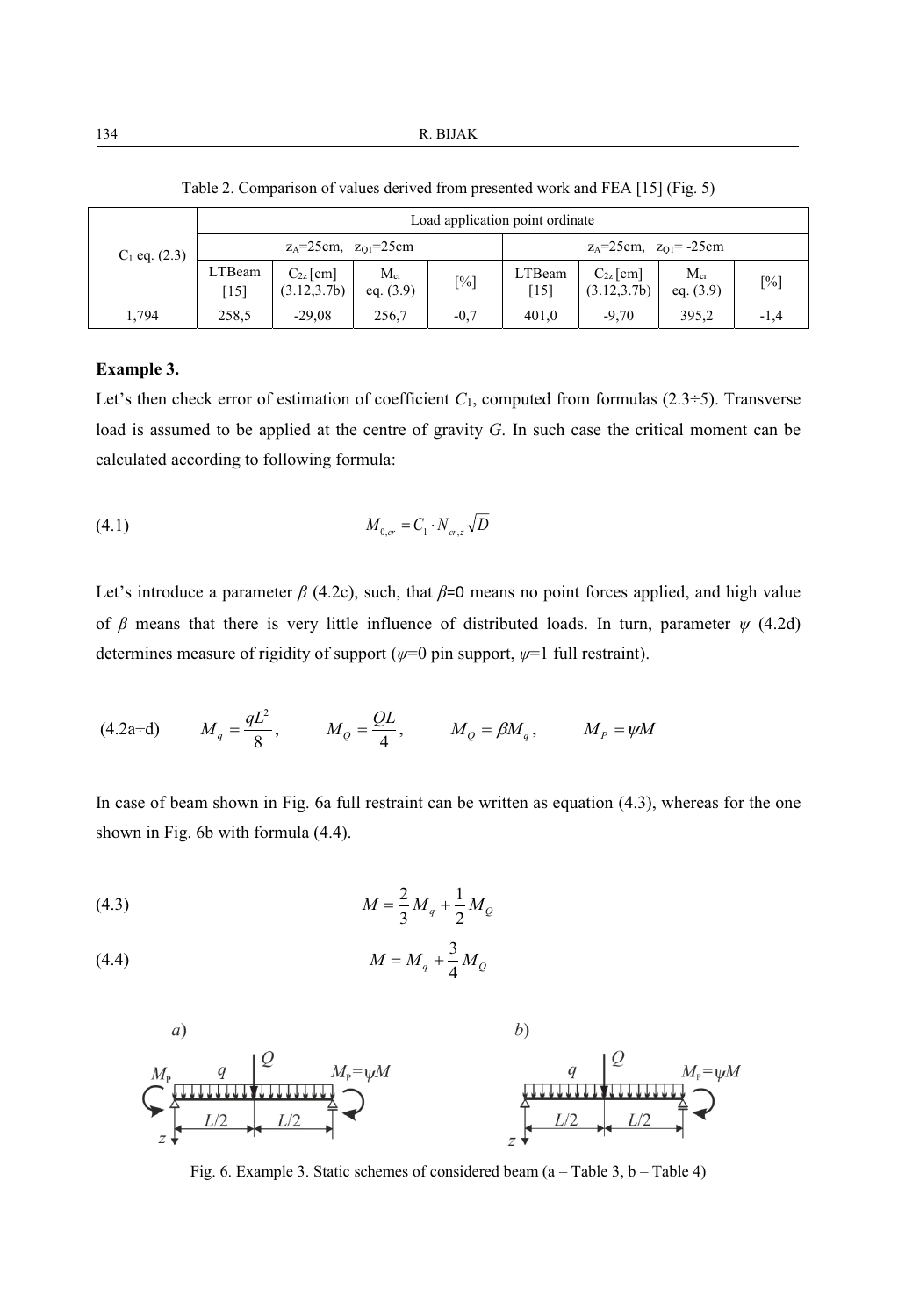|                 | Load application point ordinate |                                 |                         |        |                                  |                               |                         |                   |  |
|-----------------|---------------------------------|---------------------------------|-------------------------|--------|----------------------------------|-------------------------------|-------------------------|-------------------|--|
| $C_1$ eq. (2.3) |                                 | $z_A = 25$ cm, $z_{O1} = 25$ cm |                         |        | $z_A = 25$ cm, $z_{01} = -25$ cm |                               |                         |                   |  |
|                 | LTBeam<br>[15]                  | $C_{2z}$ [cm]<br>(3.12, 3.7b)   | $M_{cr}$<br>eq. $(3.9)$ | [%]    | LTBeam<br>$[15]$                 | $C_{2z}$ [cm]<br>(3.12, 3.7b) | $M_{cr}$<br>eq. $(3.9)$ | $\lceil\% \rceil$ |  |
| 1,794           | 258,5                           | $-29.08$                        | 256,7                   | $-0.7$ | 401.0                            | $-9.70$                       | 395.2                   | $-1,4$            |  |

Table 2. Comparison of values derived from presented work and FEA [15] (Fig. 5)

#### **Example 3.**

Let's then check error of estimation of coefficient  $C_1$ , computed from formulas (2.3÷5). Transverse load is assumed to be applied at the centre of gravity *G*. In such case the critical moment can be calculated according to following formula:

(4.1) 
$$
M_{0,cr} = C_1 \cdot N_{cr,z} \sqrt{D}
$$

Let's introduce a parameter  $\beta$  (4.2c), such, that  $\beta$ =0 means no point forces applied, and high value of *β* means that there is very little influence of distributed loads. In turn, parameter *ψ* (4.2d) determines measure of rigidity of support (*ψ*=0 pin support, *ψ*=1 full restraint).

(4.2a+d) 
$$
M_q = \frac{qL^2}{8}
$$
,  $M_Q = \frac{QL}{4}$ ,  $M_Q = \beta M_q$ ,  $M_P = \psi M$ 

In case of beam shown in Fig. 6a full restraint can be written as equation (4.3), whereas for the one shown in Fig. 6b with formula (4.4).

(4.3) 
$$
M = \frac{2}{3} M_q + \frac{1}{2} M_Q
$$

(4.4) 
$$
M = M_q + \frac{3}{4} M_Q
$$



Fig. 6. Example 3. Static schemes of considered beam (a – Table 3, b – Table 4)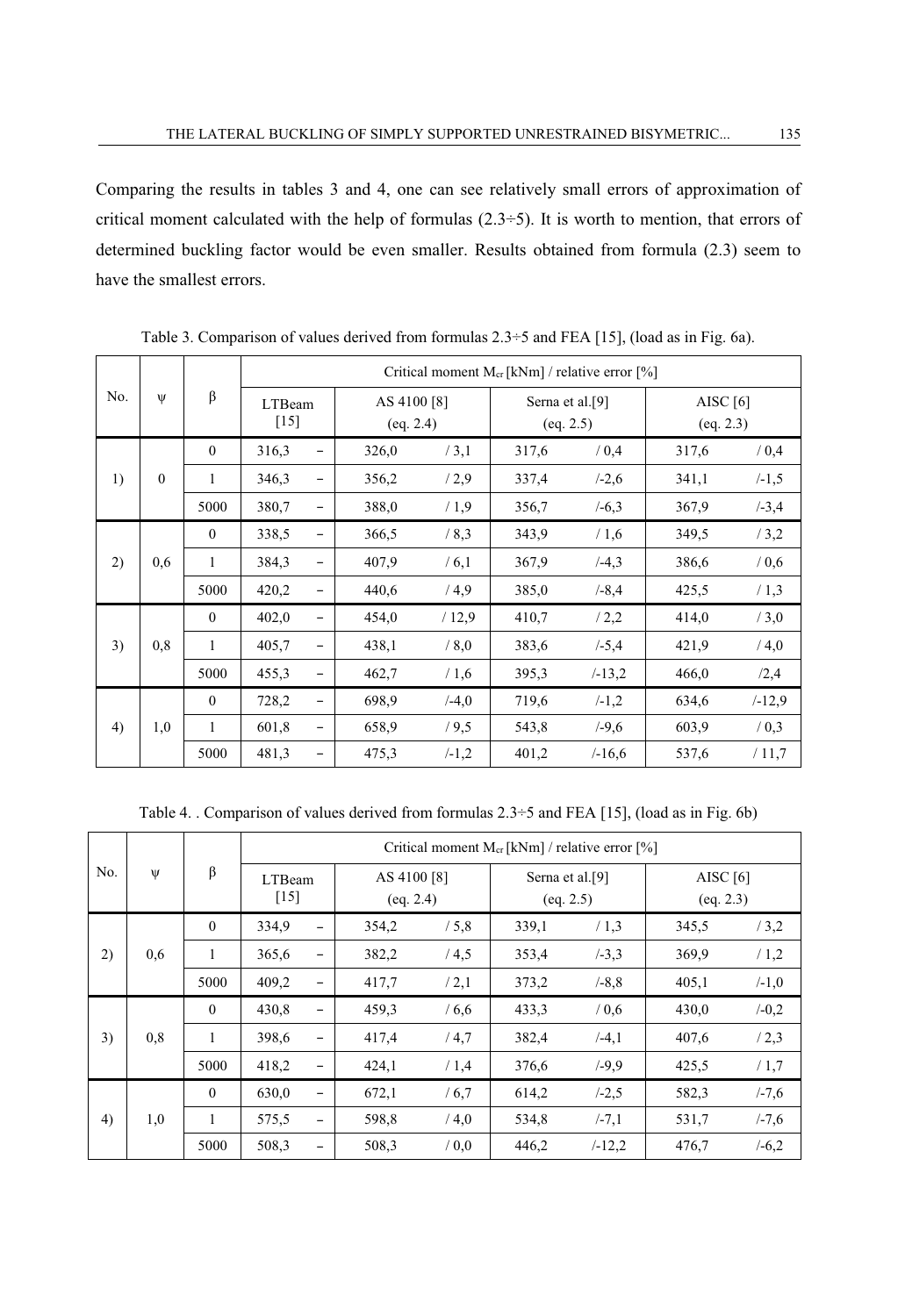Comparing the results in tables 3 and 4, one can see relatively small errors of approximation of critical moment calculated with the help of formulas  $(2.3\div 5)$ . It is worth to mention, that errors of determined buckling factor would be even smaller. Results obtained from formula (2.3) seem to have the smallest errors.

| No. | $\Psi$   | β            | Critical moment $M_{cr}$ [kNm] / relative error [%] |   |                          |          |                                          |           |                         |           |
|-----|----------|--------------|-----------------------------------------------------|---|--------------------------|----------|------------------------------------------|-----------|-------------------------|-----------|
|     |          |              | LTBeam<br>[15]                                      |   | AS 4100 [8]<br>(eq. 2.4) |          | Serna et al. <sup>[9]</sup><br>(eq. 2.5) |           | AISC $[6]$<br>(eq. 2.3) |           |
| 1)  |          | $\mathbf{0}$ | 316,3                                               |   | 326,0                    | /3,1     | 317,6                                    | / 0.4     | 317,6                   | / 0.4     |
|     | $\theta$ | 1            | 346,3                                               |   | 356,2                    | /2,9     | 337,4                                    | $/ -2,6$  | 341,1                   | $/ -1, 5$ |
|     |          | 5000         | 380,7                                               |   | 388,0                    | /1.9     | 356,7                                    | $/-6.3$   | 367,9                   | $/-3,4$   |
| 2)  | 0.6      | $\theta$     | 338,5                                               |   | 366,5                    | /8,3     | 343,9                                    | /1,6      | 349,5                   | /3,2      |
|     |          | 1            | 384,3                                               |   | 407,9                    | /6,1     | 367,9                                    | $/ -4,3$  | 386,6                   | / 0, 6    |
|     |          | 5000         | 420,2                                               |   | 440,6                    | /4.9     | 385,0                                    | $/ -8.4$  | 425,5                   | /1,3      |
| 3)  | 0,8      | $\theta$     | 402,0                                               |   | 454,0                    | /12.9    | 410,7                                    | /2,2      | 414,0                   | /3,0      |
|     |          | 1            | 405,7                                               |   | 438,1                    | / 8,0    | 383,6                                    | $/-5,4$   | 421,9                   | /4,0      |
|     |          | 5000         | 455,3                                               |   | 462,7                    | /1,6     | 395,3                                    | $/ -13,2$ | 466,0                   | /2,4      |
| 4)  | 1,0      | $\theta$     | 728,2                                               |   | 698,9                    | $(-4,0)$ | 719,6                                    | $/ -1,2$  | 634,6                   | $/ -12,9$ |
|     |          | 1            | 601,8                                               | - | 658,9                    | /9,5     | 543,8                                    | $/ -9,6$  | 603,9                   | / 0, 3    |
|     |          | 5000         | 481,3                                               |   | 475,3                    | $/ -1,2$ | 401,2                                    | $/ -16,6$ | 537,6                   | /11,7     |

Table 3. Comparison of values derived from formulas 2.3÷5 and FEA [15], (load as in Fig. 6a).

Table 4. . Comparison of values derived from formulas 2.3÷5 and FEA [15], (load as in Fig. 6b)

| No. | Ψ   | β            | Critical moment $M_{cr}$ [kNm] / relative error [%] |       |                          |       |                                          |       |                         |  |
|-----|-----|--------------|-----------------------------------------------------|-------|--------------------------|-------|------------------------------------------|-------|-------------------------|--|
|     |     |              | LTBeam<br>[15]                                      |       | AS 4100 [8]<br>(eq. 2.4) |       | Serna et al. <sup>[9]</sup><br>(eq. 2.5) |       | AISC $[6]$<br>(eq. 2.3) |  |
| 2)  | 0,6 | $\mathbf{0}$ | 334,9<br>$\overline{\phantom{0}}$                   | 354,2 | /5,8                     | 339,1 | /1,3                                     | 345,5 | /3,2                    |  |
|     |     | 1            | 365,6<br>-                                          | 382,2 | /4,5                     | 353,4 | $/ -3.3$                                 | 369,9 | /1,2                    |  |
|     |     | 5000         | 409,2<br>-                                          | 417,7 | /2,1                     | 373,2 | $/ -8.8$                                 | 405,1 | $/ -1,0$                |  |
| 3)  | 0,8 | $\theta$     | 430,8<br>-                                          | 459,3 | /6,6                     | 433,3 | / 0.6                                    | 430,0 | $/-0,2$                 |  |
|     |     | 1            | 398,6<br>-                                          | 417,4 | /4,7                     | 382,4 | $/ -4,1$                                 | 407,6 | /2,3                    |  |
|     |     | 5000         | 418,2<br>$\overline{\phantom{0}}$                   | 424,1 | /1,4                     | 376,6 | $/ -9,9$                                 | 425,5 | /1,7                    |  |
| 4)  | 1,0 | $\mathbf{0}$ | 630,0<br>$\overline{\phantom{0}}$                   | 672,1 | /6,7                     | 614,2 | $/ -2, 5$                                | 582,3 | $/ -7,6$                |  |
|     |     | 1            | 575,5<br>-                                          | 598,8 | /4,0                     | 534,8 | $/ -7.1$                                 | 531,7 | $/ -7,6$                |  |
|     |     | 5000         | 508,3                                               | 508,3 | / 0.0                    | 446,2 | $/ -12,2$                                | 476,7 | $/-6,2$                 |  |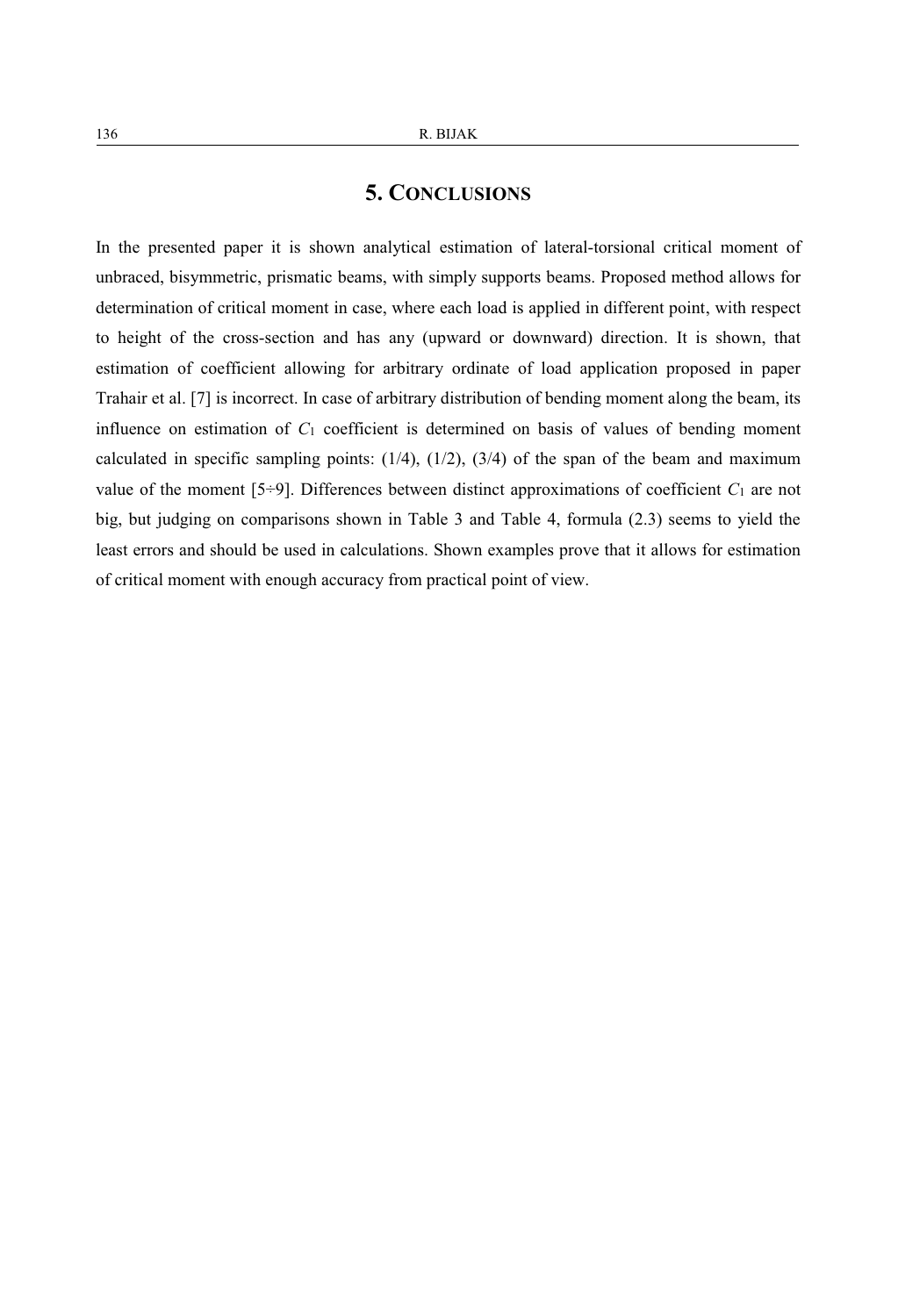### **5. CONCLUSIONS**

In the presented paper it is shown analytical estimation of lateral-torsional critical moment of unbraced, bisymmetric, prismatic beams, with simply supports beams. Proposed method allows for determination of critical moment in case, where each load is applied in different point, with respect to height of the cross-section and has any (upward or downward) direction. It is shown, that estimation of coefficient allowing for arbitrary ordinate of load application proposed in paper Trahair et al. [7] is incorrect. In case of arbitrary distribution of bending moment along the beam, its influence on estimation of *C*1 coefficient is determined on basis of values of bending moment calculated in specific sampling points:  $(1/4)$ ,  $(1/2)$ ,  $(3/4)$  of the span of the beam and maximum value of the moment  $[5\div 9]$ . Differences between distinct approximations of coefficient  $C_1$  are not big, but judging on comparisons shown in Table 3 and Table 4, formula (2.3) seems to yield the least errors and should be used in calculations. Shown examples prove that it allows for estimation of critical moment with enough accuracy from practical point of view.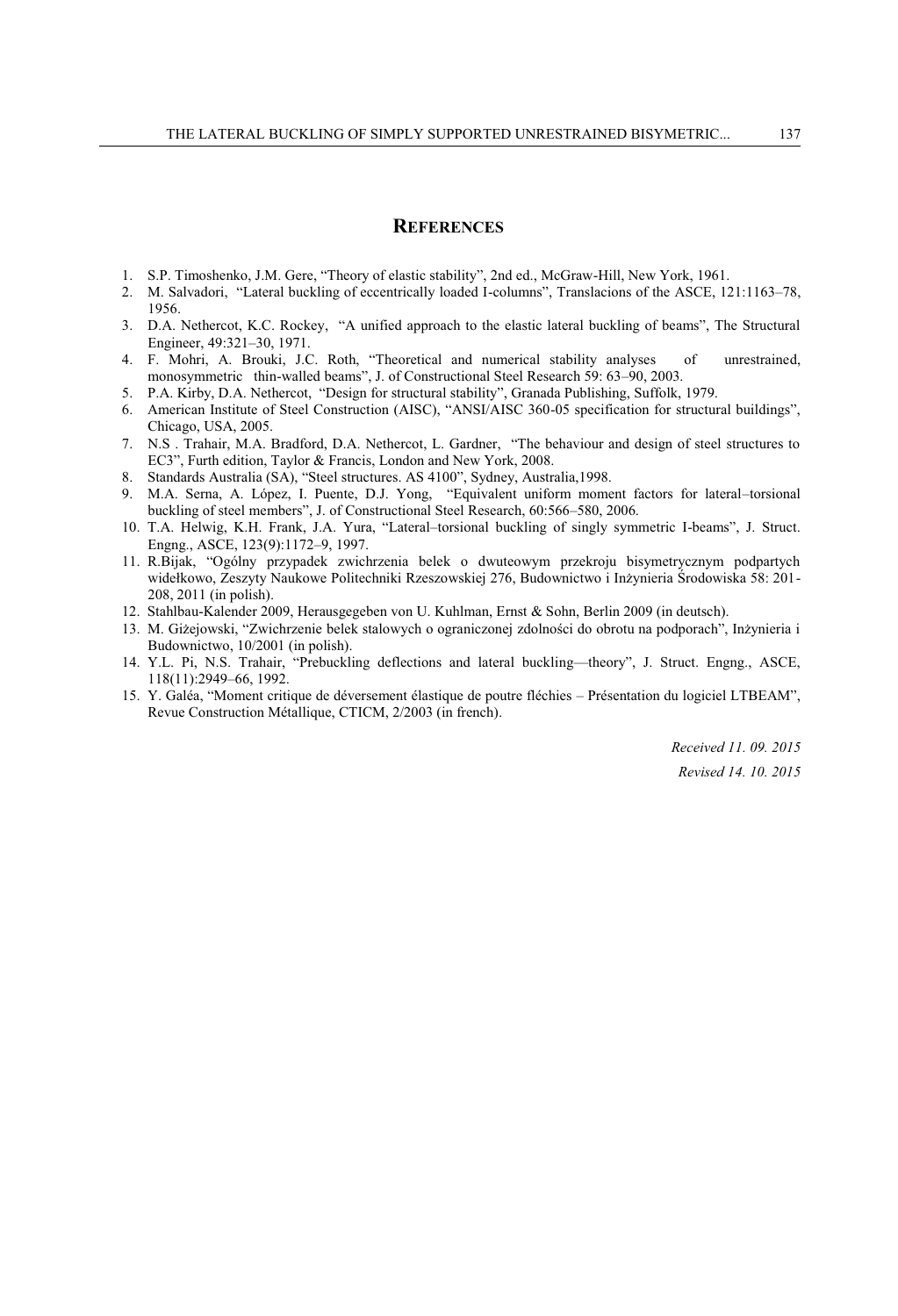### **REFERENCES**

- 1. S.P. Timoshenko, J.M. Gere, "Theory of elastic stability", 2nd ed., McGraw-Hill, New York, 1961.
- 2. M. Salvadori, "Lateral buckling of eccentrically loaded I-columns", Translacions of the ASCE, 121:1163–78, 1956.
- 3. D.A. Nethercot, K.C. Rockey, "A unified approach to the elastic lateral buckling of beams", The Structural Engineer, 49:321–30, 1971.
- 4. F. Mohri, A. Brouki, J.C. Roth, "Theoretical and numerical stability analyses of unrestrained, monosymmetric thin-walled beams", J. of Constructional Steel Research 59: 63–90, 2003.
- 5. P.A. Kirby, D.A. Nethercot, "Design for structural stability", Granada Publishing, Suffolk, 1979.
- 6. American Institute of Steel Construction (AISC), "ANSI/AISC 360-05 specification for structural buildings", Chicago, USA, 2005.
- 7. N.S . Trahair, M.A. Bradford, D.A. Nethercot, L. Gardner, "The behaviour and design of steel structures to EC3", Furth edition, Taylor & Francis, London and New York, 2008.
- 8. Standards Australia (SA), "Steel structures. AS 4100", Sydney, Australia,1998.
- 9. M.A. Serna, A. López, I. Puente, D.J. Yong, "Equivalent uniform moment factors for lateral–torsional buckling of steel members", J. of Constructional Steel Research, 60:566–580, 2006.
- 10. T.A. Helwig, K.H. Frank, J.A. Yura, "Lateral–torsional buckling of singly symmetric I-beams", J. Struct. Engng., ASCE, 123(9):1172–9, 1997.
- 11. R.Bijak, "Ogólny przypadek zwichrzenia belek o dwuteowym przekroju bisymetrycznym podpartych widełkowo, Zeszyty Naukowe Politechniki Rzeszowskiej 276, Budownictwo i Inżynieria Środowiska 58: 201- 208, 2011 (in polish).
- 12. Stahlbau-Kalender 2009, Herausgegeben von U. Kuhlman, Ernst & Sohn, Berlin 2009 (in deutsch).
- 13. M. Giżejowski, "Zwichrzenie belek stalowych o ograniczonej zdolności do obrotu na podporach", Inżynieria i Budownictwo, 10/2001 (in polish).
- 14. Y.L. Pi, N.S. Trahair, "Prebuckling deflections and lateral buckling—theory", J. Struct. Engng., ASCE, 118(11):2949–66, 1992.
- 15. Y. Galéa, "Moment critique de déversement élastique de poutre fléchies Présentation du logiciel LTBEAM", Revue Construction Métallique, CTICM, 2/2003 (in french).

*Received 11. 09. 2015 Revised 14. 10. 2015*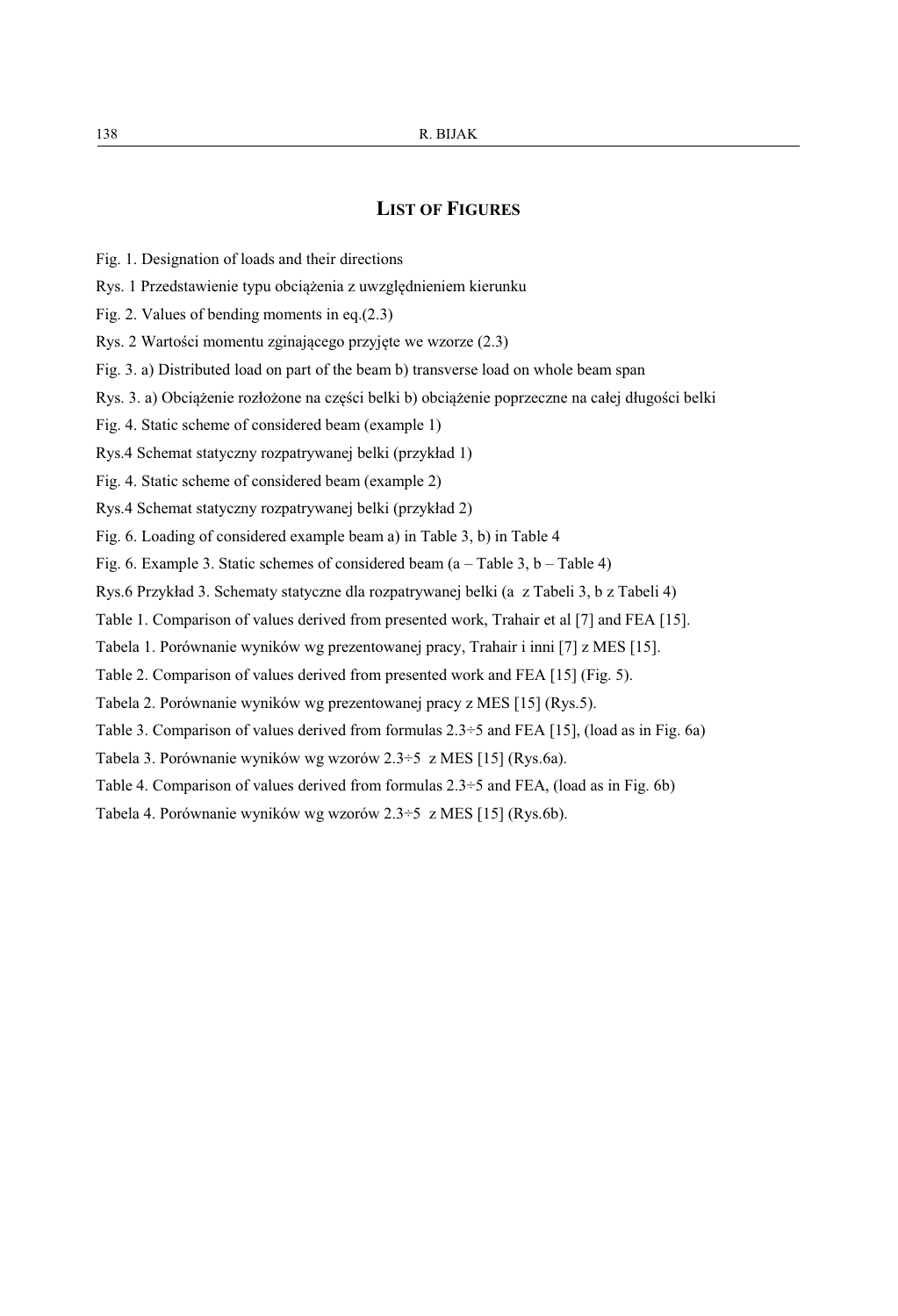### **LIST OF FIGURES**

- Fig. 1. Designation of loads and their directions
- Rys. 1 Przedstawienie typu obciążenia z uwzględnieniem kierunku
- Fig. 2. Values of bending moments in eq.(2.3)
- Rys. 2 Wartości momentu zginającego przyjęte we wzorze (2.3)
- Fig. 3. a) Distributed load on part of the beam b) transverse load on whole beam span
- Rys. 3. a) Obciążenie rozłożone na części belki b) obciążenie poprzeczne na całej długości belki
- Fig. 4. Static scheme of considered beam (example 1)
- Rys.4 Schemat statyczny rozpatrywanej belki (przykład 1)
- Fig. 4. Static scheme of considered beam (example 2)
- Rys.4 Schemat statyczny rozpatrywanej belki (przykład 2)
- Fig. 6. Loading of considered example beam a) in Table 3, b) in Table 4
- Fig. 6. Example 3. Static schemes of considered beam  $(a Table 3, b Table 4)$
- Rys.6 Przykład 3. Schematy statyczne dla rozpatrywanej belki (a z Tabeli 3, b z Tabeli 4)
- Table 1. Comparison of values derived from presented work, Trahair et al [7] and FEA [15].
- Tabela 1. Porównanie wyników wg prezentowanej pracy, Trahair i inni [7] z MES [15].
- Table 2. Comparison of values derived from presented work and FEA [15] (Fig. 5).
- Tabela 2. Porównanie wyników wg prezentowanej pracy z MES [15] (Rys.5).
- Table 3. Comparison of values derived from formulas 2.3÷5 and FEA [15], (load as in Fig. 6a)
- Tabela 3. Porównanie wyników wg wzorów 2.3÷5 z MES [15] (Rys.6a).
- Table 4. Comparison of values derived from formulas 2.3÷5 and FEA, (load as in Fig. 6b)
- Tabela 4. Porównanie wyników wg wzorów 2.3÷5 z MES [15] (Rys.6b).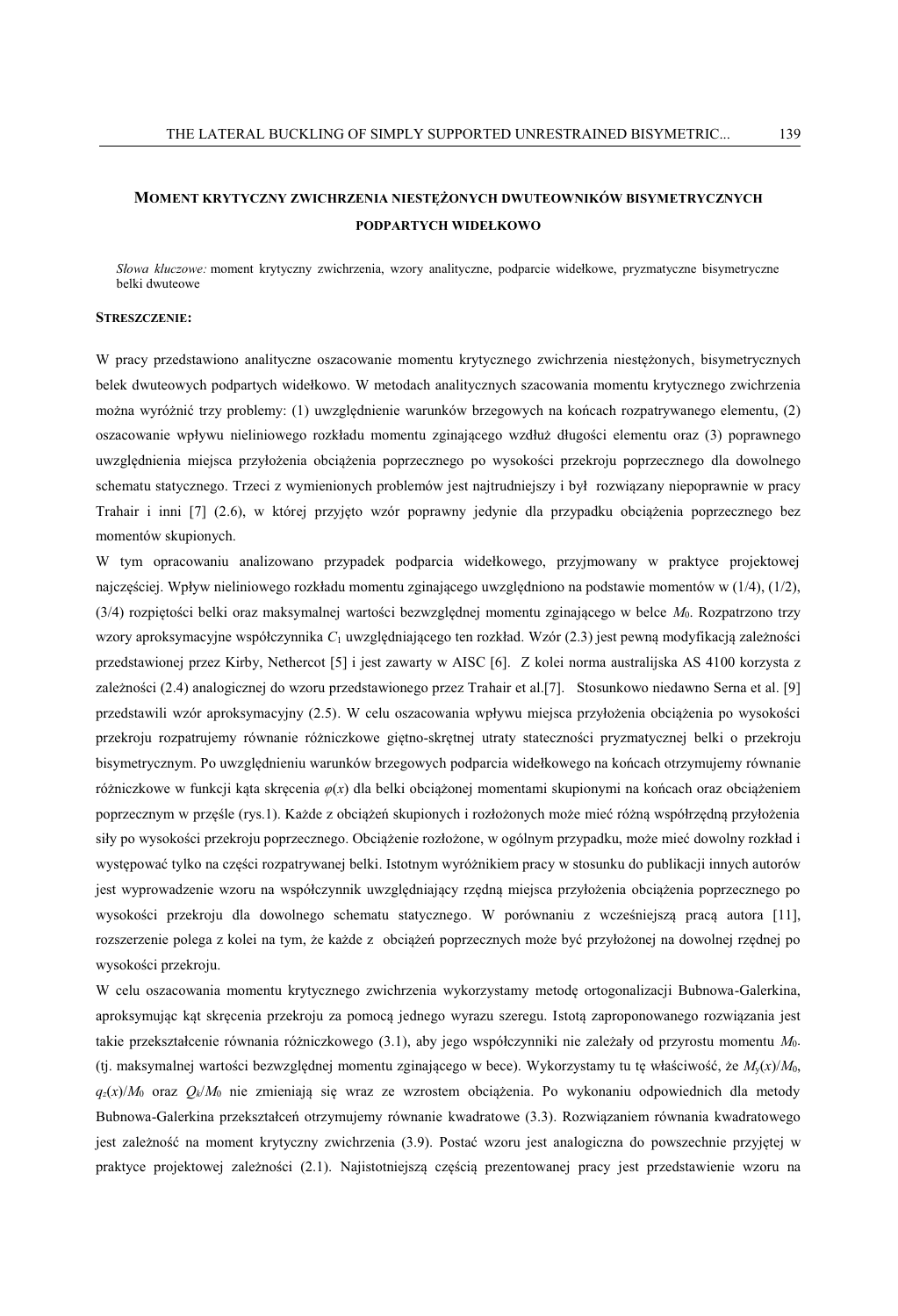### **MOMENT KRYTYCZNY ZWICHRZENIA NIESTĘŻONYCH DWUTEOWNIKÓW BISYMETRYCZNYCH PODPARTYCH WIDEŁKOWO**

*Słowa kluczowe:* moment krytyczny zwichrzenia, wzory analityczne, podparcie widełkowe, pryzmatyczne bisymetryczne belki dwuteowe

#### **STRESZCZENIE:**

W pracy przedstawiono analityczne oszacowanie momentu krytycznego zwichrzenia niestężonych, bisymetrycznych belek dwuteowych podpartych widełkowo. W metodach analitycznych szacowania momentu krytycznego zwichrzenia można wyróżnić trzy problemy: (1) uwzględnienie warunków brzegowych na końcach rozpatrywanego elementu, (2) oszacowanie wpływu nieliniowego rozkładu momentu zginającego wzdłuż długości elementu oraz (3) poprawnego uwzględnienia miejsca przyłożenia obciążenia poprzecznego po wysokości przekroju poprzecznego dla dowolnego schematu statycznego. Trzeci z wymienionych problemów jest najtrudniejszy i był rozwiązany niepoprawnie w pracy Trahair i inni [7] (2.6), w której przyjęto wzór poprawny jedynie dla przypadku obciążenia poprzecznego bez momentów skupionych.

W tym opracowaniu analizowano przypadek podparcia widełkowego, przyjmowany w praktyce projektowej najczęściej. Wpływ nieliniowego rozkładu momentu zginającego uwzględniono na podstawie momentów w (1/4), (1/2), (3/4) rozpiętości belki oraz maksymalnej wartości bezwzględnej momentu zginającego w belce *M*0. Rozpatrzono trzy wzory aproksymacyjne współczynnika *C*<sup>1</sup> uwzględniającego ten rozkład. Wzór (2.3) jest pewną modyfikacją zależności przedstawionej przez Kirby, Nethercot [5] i jest zawarty w AISC [6]. Z kolei norma australijska AS 4100 korzysta z zależności (2.4) analogicznej do wzoru przedstawionego przez Trahair et al.[7]. Stosunkowo niedawno Serna et al. [9] przedstawili wzór aproksymacyjny (2.5). W celu oszacowania wpływu miejsca przyłożenia obciążenia po wysokości przekroju rozpatrujemy równanie różniczkowe giętno-skrętnej utraty stateczności pryzmatycznej belki o przekroju bisymetrycznym. Po uwzględnieniu warunków brzegowych podparcia widełkowego na końcach otrzymujemy równanie różniczkowe w funkcji kąta skręcenia *φ*(*x*) dla belki obciążonej momentami skupionymi na końcach oraz obciążeniem poprzecznym w przęśle (rys.1). Każde z obciążeń skupionych i rozłożonych może mieć różną współrzędną przyłożenia siły po wysokości przekroju poprzecznego. Obciążenie rozłożone, w ogólnym przypadku, może mieć dowolny rozkład i występować tylko na części rozpatrywanej belki. Istotnym wyróżnikiem pracy w stosunku do publikacji innych autorów jest wyprowadzenie wzoru na współczynnik uwzględniający rzędną miejsca przyłożenia obciążenia poprzecznego po wysokości przekroju dla dowolnego schematu statycznego. W porównaniu z wcześniejszą pracą autora [11], rozszerzenie polega z kolei na tym, że każde z obciążeń poprzecznych może być przyłożonej na dowolnej rzędnej po wysokości przekroju.

W celu oszacowania momentu krytycznego zwichrzenia wykorzystamy metodę ortogonalizacji Bubnowa-Galerkina, aproksymując kąt skręcenia przekroju za pomocą jednego wyrazu szeregu. Istotą zaproponowanego rozwiązania jest takie przekształcenie równania różniczkowego (3.1), aby jego współczynniki nie zależały od przyrostu momentu *M*0. (tj. maksymalnej wartości bezwzględnej momentu zginającego w bece). Wykorzystamy tu tę właściwość, że *M*y(*x*)/*M*0, *qz*(*x*)/*M*0 oraz *Qk*/*M*<sup>0</sup> nie zmieniają się wraz ze wzrostem obciążenia. Po wykonaniu odpowiednich dla metody Bubnowa-Galerkina przekształceń otrzymujemy równanie kwadratowe (3.3). Rozwiązaniem równania kwadratowego jest zależność na moment krytyczny zwichrzenia (3.9). Postać wzoru jest analogiczna do powszechnie przyjętej w praktyce projektowej zależności (2.1). Najistotniejszą częścią prezentowanej pracy jest przedstawienie wzoru na